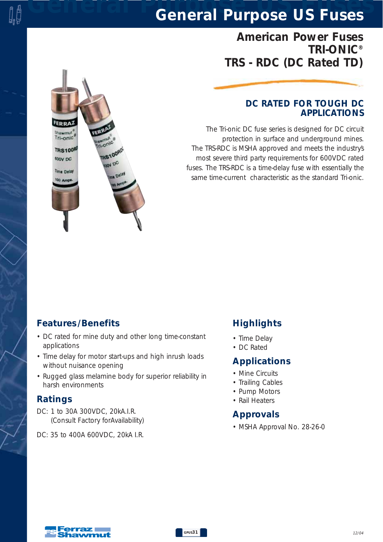# *General Purpose US Fuses General Purpose US Fuses*

## *American Power Fuses TRI-ONIC® TRS - RDC (DC Rated TD)*

#### *DC RATED FOR TOUGH DC APPLICATIONS*

*The Tri-onic DC fuse series is designed for DC circuit protection in surface and underground mines. The TRS-RDC is MSHA approved and meets the industry's most severe third party requirements for 600VDC rated fuses. The TRS-RDC is a time-delay fuse with essentially the same time-current characteristic as the standard Tri-onic.*

### *Features /Benefits*

Shawmut

**TRS100R** 

toov pc

Time Delay

*• DC rated for mine duty and other long time-constant applications*

**S100RD** 

**BN DC** 

Dela

- *Time delay for motor start-ups and high inrush loads without nuisance opening*
- *Rugged glass melamine body for superior reliability in harsh environments*

#### *Ratings*

- *DC: 1 to 30A 300VDC, 20kA.I.R. (Consult Factory forAvailability)*
- *DC: 35 to 400A 600VDC, 20kA I.R.*

### *Highlights*

- *Time Delay*
- *DC Rated*

#### *Applications*

- *Mine Circuits*
- *Trailing Cables*
- *Pump Motors*
- *Rail Heaters*

### *Approvals*

*• MSHA Approval No. 28-26-0*